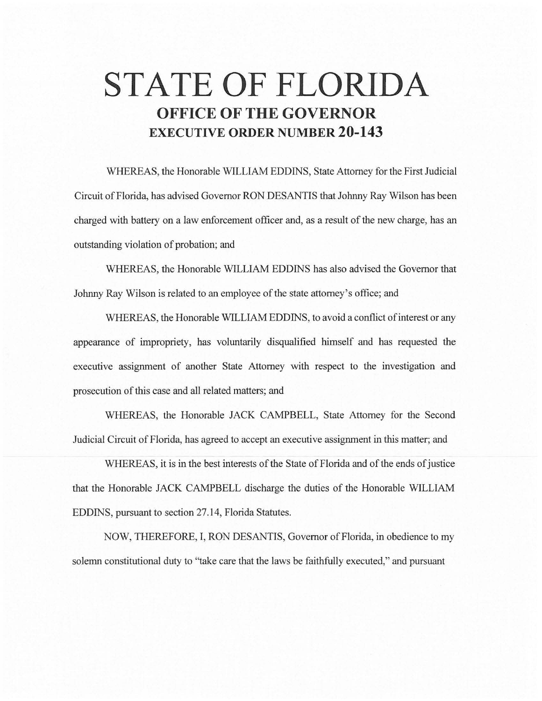## **STATE OF FLORIDA OFFICE OF THE GOVERNOR EXECUTIVE ORDER NUMBER 20-143**

WHEREAS, the Honorable WILLIAM EDDINS, State Attorney for the First Judicial Circuit of Florida, has advised Governor RON DESANTIS that Johnny Ray Wilson has been charged with battery on a law enforcement officer and, as a result of the new charge, has an outstanding violation of probation; and

WHEREAS, the Honorable WILLIAM EDDINS has also advised the Governor that Johnny Ray Wilson is related to an employee of the state attorney's office; and

WHEREAS, the Honorable WILLIAM EDDINS, to avoid a conflict of interest or any appearance of impropriety, has voluntarily disqualified himself and has requested the executive assignment of another State Attorney with respect to the investigation and prosecution of this case and all related matters; and

WHEREAS, the Honorable JACK CAMPBELL, State Attorney for the Second Judicial Circuit of Florida, has agreed to accept an executive assignment in this matter; and

WHEREAS, it is in the best interests of the State of Florida and of the ends of justice that the Honorable JACK CAMPBELL discharge the duties of the Honorable WILLIAM EDDINS, pursuant to section 27.14, Florida Statutes.

NOW, THEREFORE, I, RON DESANTIS, Governor of Florida, in obedience to my solemn constitutional duty to "take care that the laws be faithfully executed," and pursuant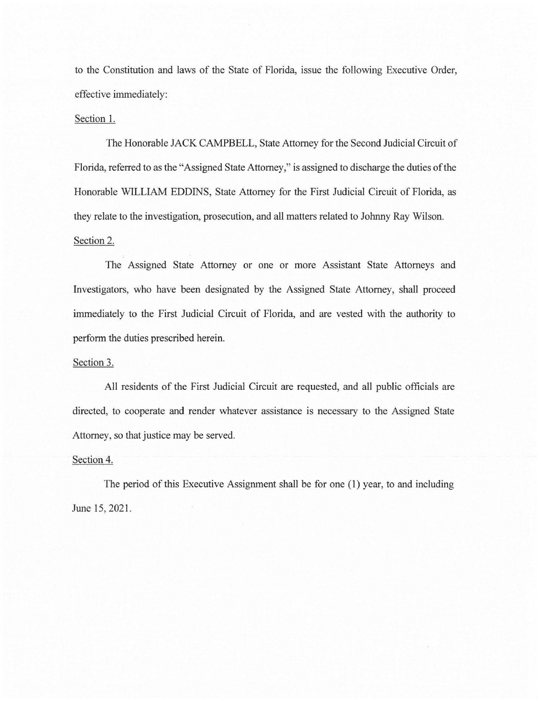to the Constitution and laws of the State of Florida, issue the following Executive Order, effective immediately:

## Section 1.

The Honorable JACK CAMPBELL, State Attorney for the Second Judicial Circuit of Florida, referred to as the "Assigned State Attorney," is assigned to discharge the duties of the Honorable WILLIAM EDDINS, State Attorney for the First Judicial Circuit of Florida, as they relate to the investigation, prosecution, and all matters related to Johnny Ray Wilson. Section 2.

The Assigned State Attorney or one or more Assistant State Attorneys and Investigators, who have been designated by the Assigned State Attorney, shall proceed immediately to the First Judicial Circuit of Florida, and are vested with the authority to perform the duties prescribed herein.

## Section 3.

All residents of the First Judicial Circuit are requested, and all public officials are directed, to cooperate and render whatever assistance is necessary to the Assigned State Attorney, so that justice may be served.

## Section 4.

The period of this Executive Assignment shall be for one (1) year, to and including June 15, 2021.